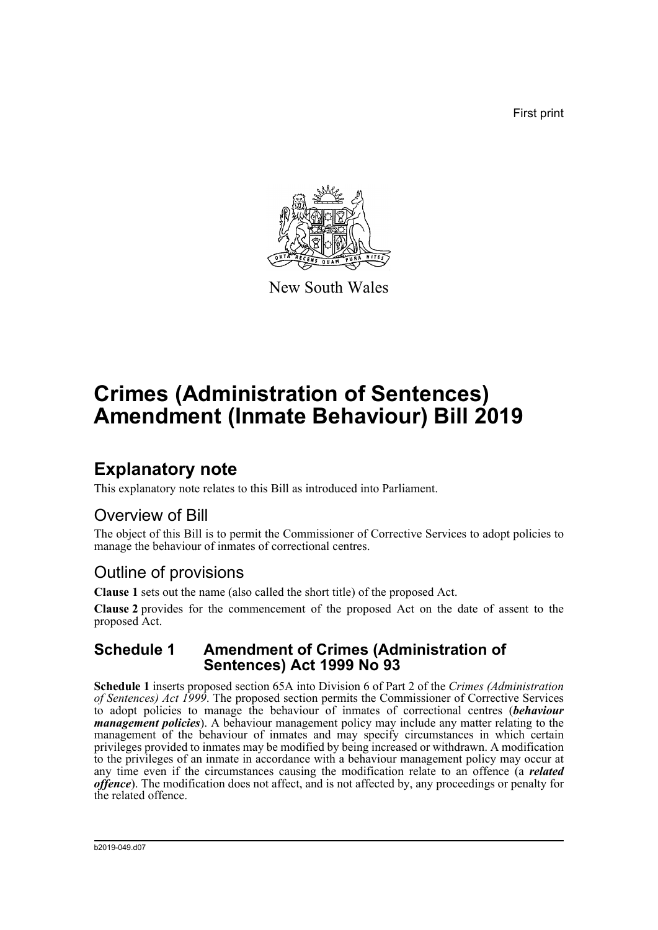First print



New South Wales

# **Crimes (Administration of Sentences) Amendment (Inmate Behaviour) Bill 2019**

## **Explanatory note**

This explanatory note relates to this Bill as introduced into Parliament.

### Overview of Bill

The object of this Bill is to permit the Commissioner of Corrective Services to adopt policies to manage the behaviour of inmates of correctional centres.

### Outline of provisions

**Clause 1** sets out the name (also called the short title) of the proposed Act.

**Clause 2** provides for the commencement of the proposed Act on the date of assent to the proposed Act.

#### **Schedule 1 Amendment of Crimes (Administration of Sentences) Act 1999 No 93**

**Schedule 1** inserts proposed section 65A into Division 6 of Part 2 of the *Crimes (Administration of Sentences) Act 1999*. The proposed section permits the Commissioner of Corrective Services to adopt policies to manage the behaviour of inmates of correctional centres (*behaviour management policies*). A behaviour management policy may include any matter relating to the management of the behaviour of inmates and may specify circumstances in which certain privileges provided to inmates may be modified by being increased or withdrawn. A modification to the privileges of an inmate in accordance with a behaviour management policy may occur at any time even if the circumstances causing the modification relate to an offence (a *related offence*). The modification does not affect, and is not affected by, any proceedings or penalty for the related offence.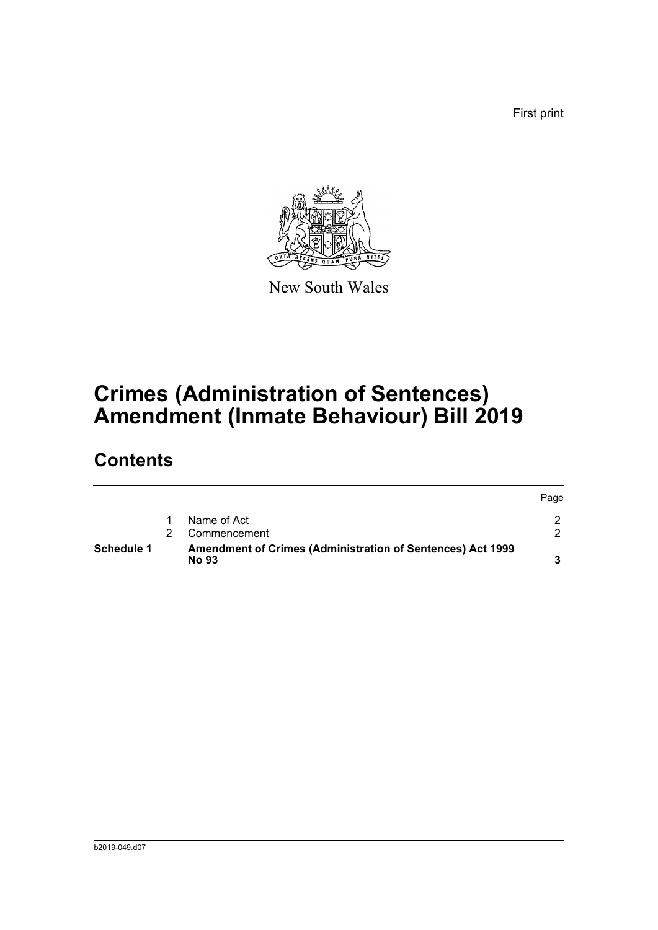First print



New South Wales

# **Crimes (Administration of Sentences) Amendment (Inmate Behaviour) Bill 2019**

## **Contents**

| <b>Schedule 1</b> | Amendment of Crimes (Administration of Sentences) Act 1999<br><b>No 93</b> |      |
|-------------------|----------------------------------------------------------------------------|------|
|                   | Commencement                                                               |      |
|                   | Name of Act                                                                |      |
|                   |                                                                            | Page |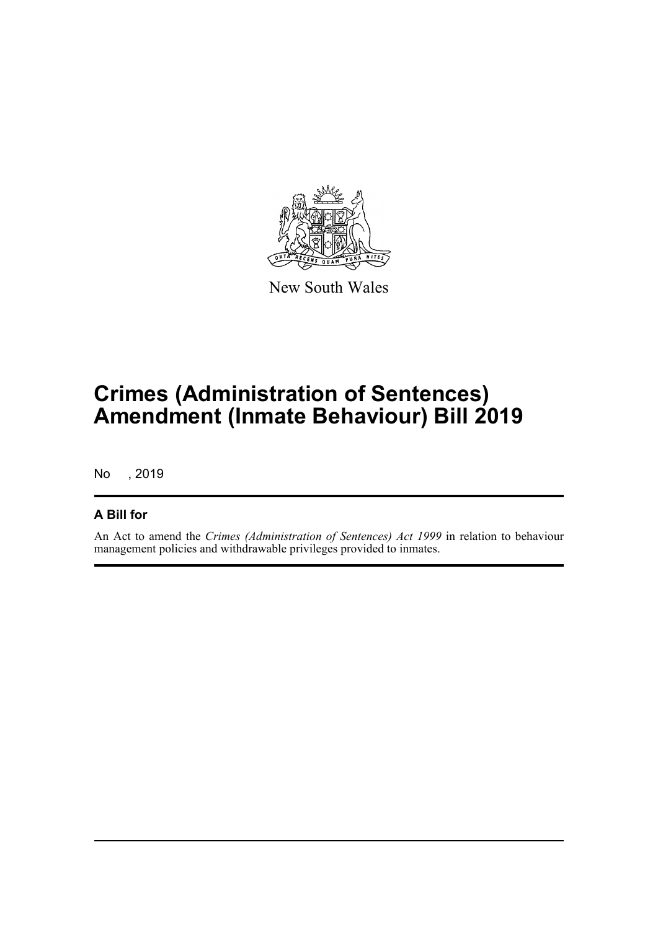

New South Wales

# **Crimes (Administration of Sentences) Amendment (Inmate Behaviour) Bill 2019**

No , 2019

#### **A Bill for**

An Act to amend the *Crimes (Administration of Sentences) Act 1999* in relation to behaviour management policies and withdrawable privileges provided to inmates.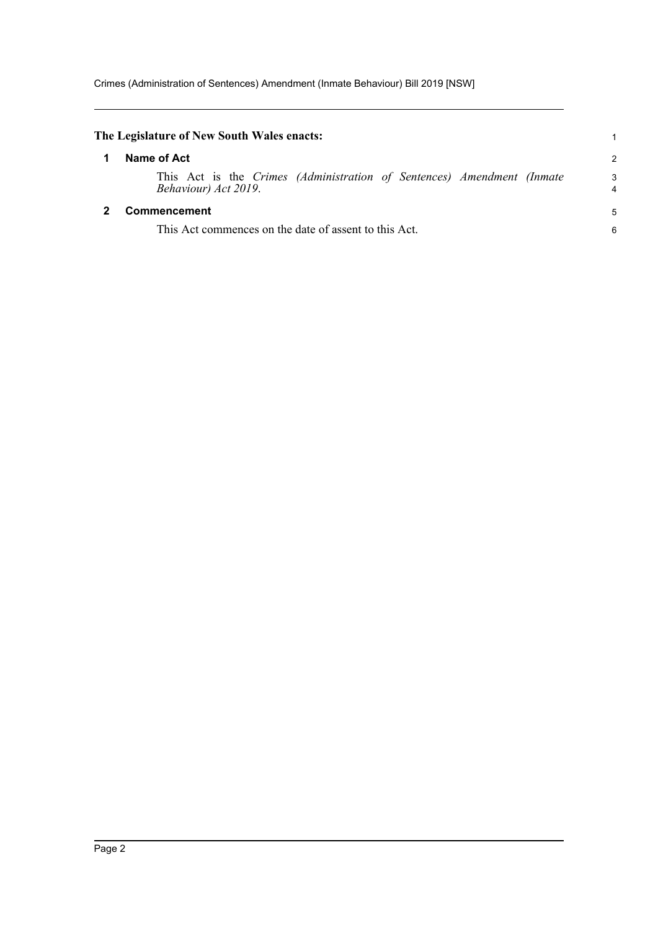<span id="page-3-1"></span><span id="page-3-0"></span>

| The Legislature of New South Wales enacts:                                                     |               |
|------------------------------------------------------------------------------------------------|---------------|
| Name of Act                                                                                    | $\mathcal{P}$ |
| This Act is the Crimes (Administration of Sentences) Amendment (Inmate<br>Behaviour) Act 2019. | 3<br>4        |
| <b>Commencement</b>                                                                            | 5             |
| This Act commences on the date of assent to this Act.                                          | 6             |
|                                                                                                |               |